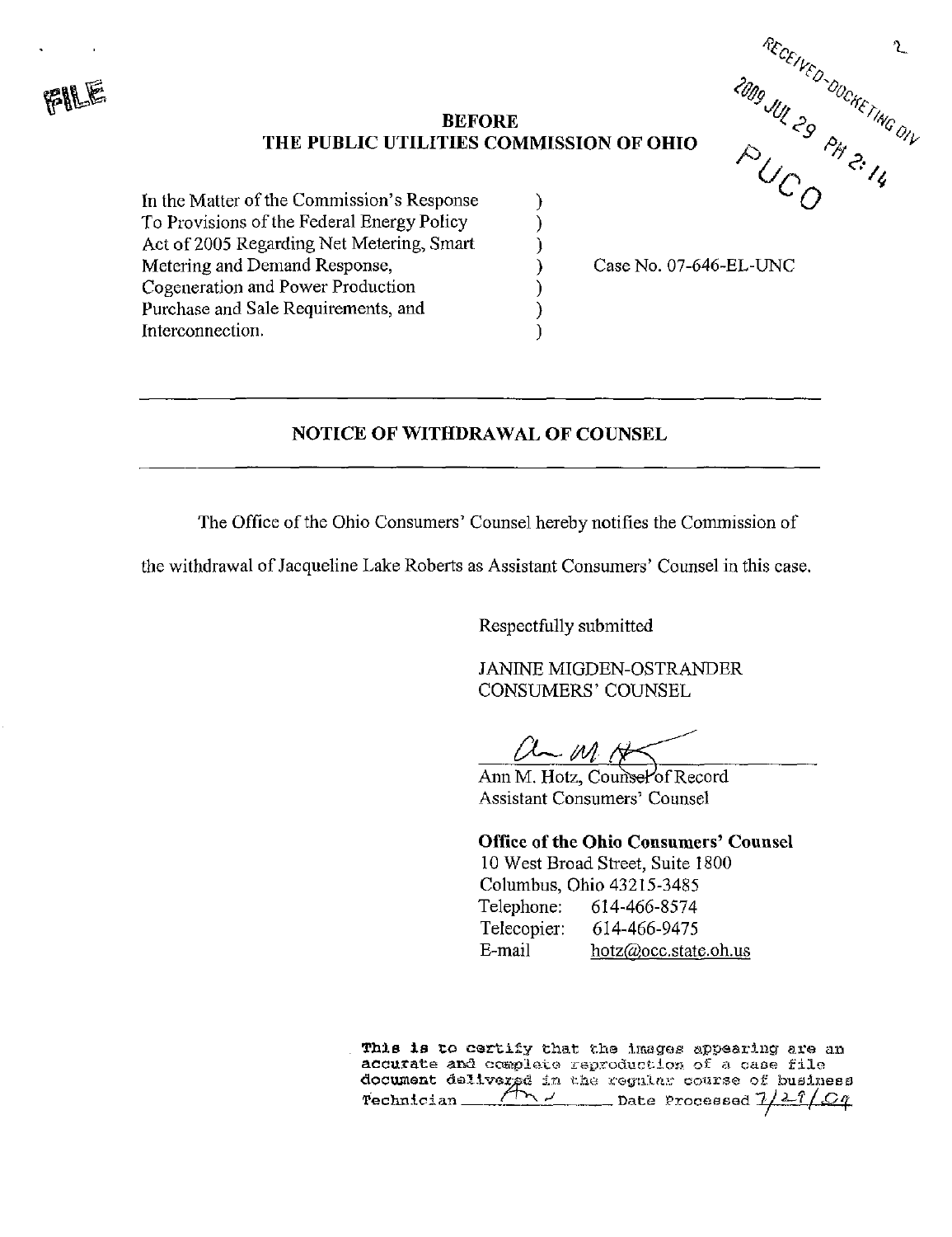## BEFORE  $\vee$   $\otimes$   $\vee$ THE PUBLIC UTILITIES COMMISSION OF OHIO

In the Matter of the Commission's Response To Provisions of the Federal Energy Policy Act of 2005 Regarding Net Metering, Smart Metering and Demand Response, Cogeneration and Power Production Purchase and Sale Requirements, and Interconnection.



Case No. 07-646-EL-UNC

## NOTICE OF WITHDRAWAL OF COUNSEL

The Office of the Ohio Consumers' Counsel hereby notifies the Commission of

the withdrawal of Jacqueline Lake Roberts as Assistant Consumers' Counsel in this case.

Respectfully submitted

JANINE MIGDEN-OSTRANDER CONSUMERS' COUNSEL

 $U-M \nrightthreetimes$ 

Office of the Ohio Consumers' Counsel

10 West Broad Street, Suite 1800 Columbus, Ohio 43215-3485 Telephone: 614-466-8574 Telecopier: 614-466-9475 E-mail [hotz@occ.state.oh.us](mailto:hotz@occ.state.oh.us)

This is to certify that the images appearing are an accurate and complete raproduction of a case file document delivered in the regular course of business Technician rr~^ ^ Date .Processed '7 / ^-f I 'O^

Ann M. Hotz, Counsel of Record Assistant Consumers' Counsel